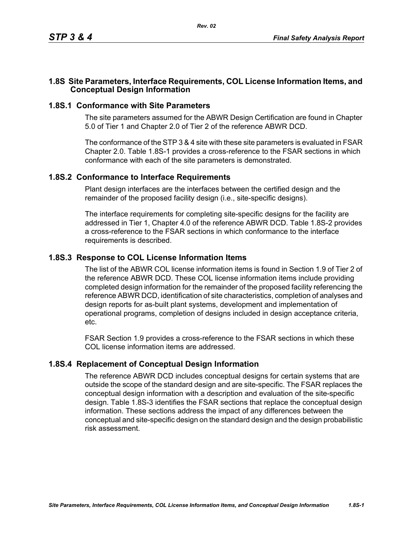# **1.8S Site Parameters, Interface Requirements, COL License Information Items, and Conceptual Design Information**

### **1.8S.1 Conformance with Site Parameters**

The site parameters assumed for the ABWR Design Certification are found in Chapter 5.0 of Tier 1 and Chapter 2.0 of Tier 2 of the reference ABWR DCD.

The conformance of the STP 3 & 4 site with these site parameters is evaluated in FSAR Chapter 2.0. Table [1.8S-1](#page-1-0) provides a cross-reference to the FSAR sections in which conformance with each of the site parameters is demonstrated.

#### **1.8S.2 Conformance to Interface Requirements**

Plant design interfaces are the interfaces between the certified design and the remainder of the proposed facility design (i.e., site-specific designs).

The interface requirements for completing site-specific designs for the facility are addressed in Tier 1, Chapter 4.0 of the reference ABWR DCD. Table [1.8S-2](#page-2-0) provides a cross-reference to the FSAR sections in which conformance to the interface requirements is described.

#### **1.8S.3 Response to COL License Information Items**

The list of the ABWR COL license information items is found in Section 1.9 of Tier 2 of the reference ABWR DCD. These COL license information items include providing completed design information for the remainder of the proposed facility referencing the reference ABWR DCD, identification of site characteristics, completion of analyses and design reports for as-built plant systems, development and implementation of operational programs, completion of designs included in design acceptance criteria, etc.

FSAR Section 1.9 provides a cross-reference to the FSAR sections in which these COL license information items are addressed.

# **1.8S.4 Replacement of Conceptual Design Information**

The reference ABWR DCD includes conceptual designs for certain systems that are outside the scope of the standard design and are site-specific. The FSAR replaces the conceptual design information with a description and evaluation of the site-specific design. Table [1.8S-3](#page-3-0) identifies the FSAR sections that replace the conceptual design information. These sections address the impact of any differences between the conceptual and site-specific design on the standard design and the design probabilistic risk assessment.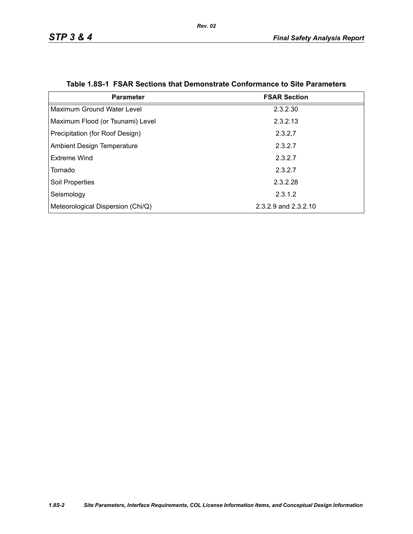<span id="page-1-0"></span>

| <b>Parameter</b>                  | <b>FSAR Section</b>  |
|-----------------------------------|----------------------|
| Maximum Ground Water Level        | 2.3.2.30             |
| Maximum Flood (or Tsunami) Level  | 2.3.2.13             |
| Precipitation (for Roof Design)   | 2.3.2.7              |
| <b>Ambient Design Temperature</b> | 2.3.2.7              |
| Extreme Wind                      | 2.3.2.7              |
| Tornado                           | 2.3.2.7              |
| Soil Properties                   | 2.3.2.28             |
| Seismology                        | 2.3.1.2              |
| Meteorological Dispersion (Chi/Q) | 2.3.2.9 and 2.3.2.10 |

|  |  | Table 1.8S-1 FSAR Sections that Demonstrate Conformance to Site Parameters |  |  |
|--|--|----------------------------------------------------------------------------|--|--|
|--|--|----------------------------------------------------------------------------|--|--|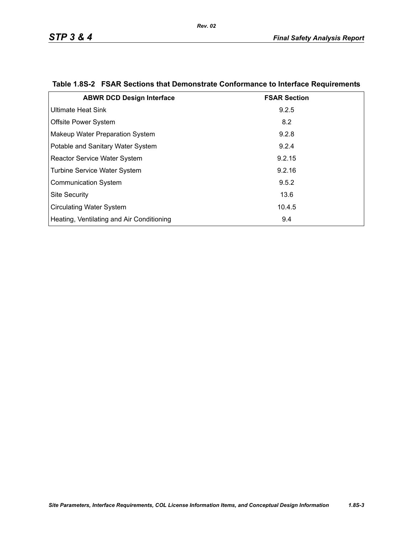| <b>ABWR DCD Design Interface</b>          | <b>FSAR Section</b> |
|-------------------------------------------|---------------------|
| Ultimate Heat Sink                        | 9.2.5               |
| <b>Offsite Power System</b>               | 8.2                 |
| Makeup Water Preparation System           | 9.2.8               |
| Potable and Sanitary Water System         | 9.2.4               |
| <b>Reactor Service Water System</b>       | 9.2.15              |
| Turbine Service Water System              | 9.2.16              |
| <b>Communication System</b>               | 9.5.2               |
| <b>Site Security</b>                      | 13.6                |
| <b>Circulating Water System</b>           | 10.4.5              |
| Heating, Ventilating and Air Conditioning | 9.4                 |

# <span id="page-2-0"></span>**Table 1.8S-2 FSAR Sections that Demonstrate Conformance to Interface Requirements**